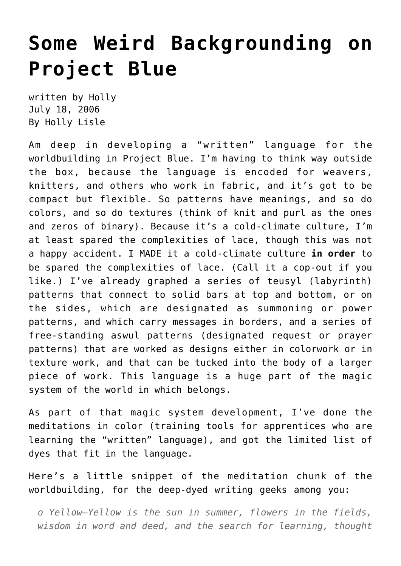## **[Some Weird Backgrounding on](https://hollylisle.com/some-weird-backgrounding-on-project-blue/) [Project Blue](https://hollylisle.com/some-weird-backgrounding-on-project-blue/)**

written by Holly July 18, 2006 [By Holly Lisle](https://hollylisle.com)

Am deep in developing a "written" language for the worldbuilding in Project Blue. I'm having to think way outside the box, because the language is encoded for weavers, knitters, and others who work in fabric, and it's got to be compact but flexible. So patterns have meanings, and so do colors, and so do textures (think of knit and purl as the ones and zeros of binary). Because it's a cold-climate culture, I'm at least spared the complexities of lace, though this was not a happy accident. I MADE it a cold-climate culture **in order** to be spared the complexities of lace. (Call it a cop-out if you like.) I've already graphed a series of teusyl (labyrinth) patterns that connect to solid bars at top and bottom, or on the sides, which are designated as summoning or power patterns, and which carry messages in borders, and a series of free-standing aswul patterns (designated request or prayer patterns) that are worked as designs either in colorwork or in texture work, and that can be tucked into the body of a larger piece of work. This language is a huge part of the magic system of the world in which belongs.

As part of that magic system development, I've done the meditations in color (training tools for apprentices who are learning the "written" language), and got the limited list of dyes that fit in the language.

Here's a little snippet of the meditation chunk of the worldbuilding, for the deep-dyed writing geeks among you:

*o Yellow—Yellow is the sun in summer, flowers in the fields, wisdom in word and deed, and the search for learning, thought*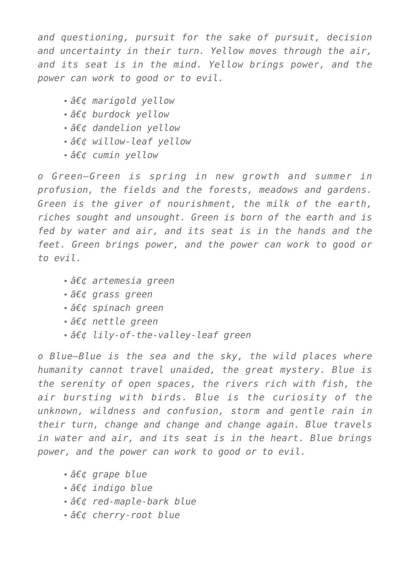*and questioning, pursuit for the sake of pursuit, decision and uncertainty in their turn. Yellow moves through the air, and its seat is in the mind. Yellow brings power, and the power can work to good or to evil.*

- *marigold yellow*
- **•**  $â€d$  burdock vellow
- *dandelion yellow*
- *willow-leaf yellow*
- *cumin vellow*

*o Green—Green is spring in new growth and summer in profusion, the fields and the forests, meadows and gardens. Green is the giver of nourishment, the milk of the earth, riches sought and unsought. Green is born of the earth and is fed by water and air, and its seat is in the hands and the feet. Green brings power, and the power can work to good or to evil.*

- *artemesia green*
- *grass green*
- *spinach green*
- *nettle green*
- $â€$ ¢ lily-of-the-valley-leaf green

*o Blue—Blue is the sea and the sky, the wild places where humanity cannot travel unaided, the great mystery. Blue is the serenity of open spaces, the rivers rich with fish, the air bursting with birds. Blue is the curiosity of the unknown, wildness and confusion, storm and gentle rain in their turn, change and change and change again. Blue travels in water and air, and its seat is in the heart. Blue brings power, and the power can work to good or to evil.*

- *•* grape blue
- *indigo blue*
- *red-maple-bark blue*
- *cherry-root blue*